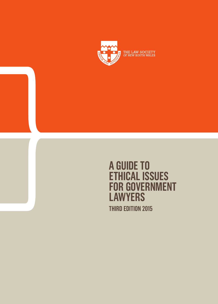

**A GUIDE TO ETHICAL ISSUES FOR GOVERNMENT LAWYERS THIRD EDITION 2015**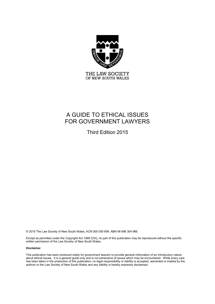

# A GUIDE TO ETHICAL ISSUES FOR GOVERNMENT LAWYERS

Third Edition 2015

© 2015 The Law Society of New South Wales, ACN 000 000 699, ABN 98 696 304 966.

Except as permitted under the *Copyright Act 1968* (Cth), no part of this publication may be reproduced without the specific written permission of the Law Society of New South Wales.

#### **Disclaimer**

This publication has been produced solely for government lawyers to provide general information of an introductory nature about ethical issues. It is a general guide only and is not exhaustive of issues which may be encountered. While every care has been taken in the production of this publication, no legal responsibility or liability is accepted, warranted or implied by the authors or the Law Society of New South Wales and any liability is hereby expressly disclaimed.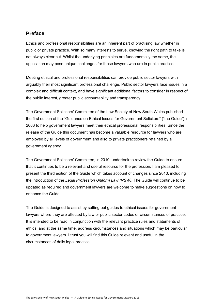# **Preface**

Ethics and professional responsibilities are an inherent part of practising law whether in public or private practice. With so many interests to serve, knowing the right path to take is not always clear cut. Whilst the underlying principles are fundamentally the same, the application may pose unique challenges for those lawyers who are in public practice.

Meeting ethical and professional responsibilities can provide public sector lawyers with arguably their most significant professional challenge. Public sector lawyers face issues in a complex and difficult context, and have significant additional factors to consider in respect of the public interest, greater public accountability and transparency.

The Government Solicitors' Committee of the Law Society of New South Wales published the first edition of the "Guidance on Ethical Issues for Government Solicitors" ("the Guide") in 2003 to help government lawyers meet their ethical professional responsibilities. Since the release of the Guide this document has become a valuable resource for lawyers who are employed by all levels of government and also to private practitioners retained by a government agency.

The Government Solicitors' Committee, in 2010, undertook to review the Guide to ensure that it continues to be a relevant and useful resource for the profession. I am pleased to present the third edition of the Guide which takes account of changes since 2010, including the introduction of the *Legal Profession Uniform Law (NSW)*. The Guide will continue to be updated as required and government lawyers are welcome to make suggestions on how to enhance the Guide.

The Guide is designed to assist by setting out guides to ethical issues for government lawyers where they are affected by law or public sector codes or circumstances of practice. It is intended to be read in conjunction with the relevant practice rules and statements of ethics, and at the same time, address circumstances and situations which may be particular to government lawyers. I trust you will find this Guide relevant and useful in the circumstances of daily legal practice.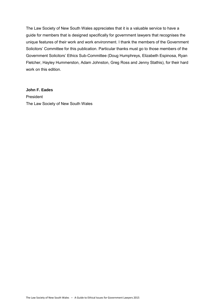The Law Society of New South Wales appreciates that it is a valuable service to have a guide for members that is designed specifically for government lawyers that recognises the unique features of their work and work environment. I thank the members of the Government Solicitors' Committee for this publication. Particular thanks must go to those members of the Government Solicitors' Ethics Sub-Committee (Doug Humphreys, Elizabeth Espinosa, Ryan Fletcher, Hayley Hummerston, Adam Johnston, Greg Ross and Jenny Stathis), for their hard work on this edition.

#### **John F. Eades**

President The Law Society of New South Wales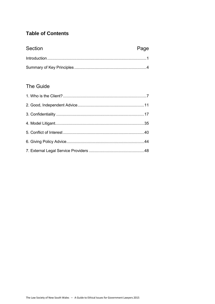# **Table of Contents**

| Section | Page |
|---------|------|
|         |      |
|         |      |

# The Guide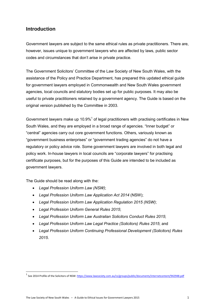# **Introduction**

Government lawyers are subject to the same ethical rules as private practitioners. There are, however, issues unique to government lawyers who are affected by laws, public sector codes and circumstances that don't arise in private practice.

The Government Solicitors' Committee of the Law Society of New South Wales, with the assistance of the Policy and Practice Department, has prepared this updated ethical guide for government lawyers employed in Commonwealth and New South Wales government agencies, local councils and statutory bodies set up for public purposes. It may also be useful to private practitioners retained by a government agency. The Guide is based on the original version published by the Committee in 2003.

Government lawyers make up 10.9% $<sup>1</sup>$  of legal practitioners with practising certificates in New</sup> South Wales, and they are employed in a broad range of agencies. "Inner budget" or "central" agencies carry out core government functions. Others, variously known as "government business enterprises" or "government trading agencies" do not have a regulatory or policy advice role. Some government lawyers are involved in both legal and policy work. In-house lawyers in local councils are "corporate lawyers" for practising certificate purposes, but for the purposes of this Guide are intended to be included as government lawyers.

The Guide should be read along with the:

- *Legal Profession Uniform Law (NSW)*;
- *Legal Profession Uniform Law Application Act 2014* (NSW);
- *Legal Profession Uniform Law Application Regulation 2015 (NSW)*;
- *Legal Profession Uniform General Rules 2015*;
- *Legal Profession Uniform Law Australian Solicitors Conduct Rules 2015*;
- *Legal Profession Uniform Law Legal Practice (Solicitors) Rules 2015*; and
- *Legal Profession Uniform Continuing Professional Development (Solicitors) Rules 2015*.

<sup>&</sup>lt;sup>1</sup> See 2014 Profile of the Solicitors of NSW: <u>https://www.lawsociety.com.au/cs/groups/public/documents/internetcontent/942948.pdf</u>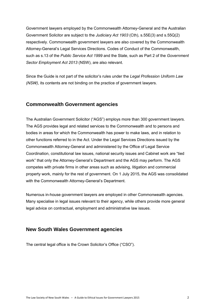Government lawyers employed by the Commonwealth Attorney-General and the Australian Government Solicitor are subject to the *Judiciary Act 1903* (Cth), s.55E(3) and s.55Q(2) respectively. Commonwealth government lawyers are also covered by the Commonwealth Attorney-General's Legal Services Directions. Codes of Conduct of the Commonwealth, such as s.13 of the *Public Service Act 1999* and the State, such as Part 2 of the *Government Sector Employment Act 2013* (NSW), are also relevant.

Since the Guide is not part of the solicitor's rules under the *Legal Profession Uniform Law (NSW)*, its contents are not binding on the practice of government lawyers.

# **Commonwealth Government agencies**

The Australian Government Solicitor ("AGS") employs more than 300 government lawyers. The AGS provides legal and related services to the Commonwealth and to persons and bodies in areas for which the Commonwealth has power to make laws, and in relation to other functions referred to in the Act. Under the Legal Services Directions issued by the Commonwealth Attorney-General and administered by the Office of Legal Service Coordination, constitutional law issues, national security issues and Cabinet work are "tied work" that only the Attorney-General's Department and the AGS may perform. The AGS competes with private firms in other areas such as advising, litigation and commercial property work, mainly for the rest of government. On 1 July 2015, the AGS was consolidated with the Commonwealth Attorney-General's Department.

Numerous in-house government lawyers are employed in other Commonwealth agencies. Many specialise in legal issues relevant to their agency, while others provide more general legal advice on contractual, employment and administrative law issues.

# **New South Wales Government agencies**

The central legal office is the Crown Solicitor's Office ("CSO").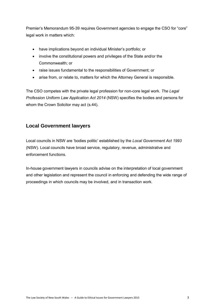Premier's Memorandum 95-39 requires Government agencies to engage the CSO for "core" legal work in matters which:

- have implications beyond an individual Minister's portfolio; or
- involve the constitutional powers and privileges of the State and/or the Commonwealth; or
- raise issues fundamental to the responsibilities of Government; or
- arise from, or relate to, matters for which the Attorney General is responsible.

The CSO competes with the private legal profession for non-core legal work. *The Legal Profession Uniform Law Application Act 2014* (NSW) specifies the bodies and persons for whom the Crown Solicitor may act (s.44).

# **Local Government lawyers**

Local councils in NSW are 'bodies politic' established by the *Local Government Act 1993* (NSW). Local councils have broad service, regulatory, revenue, administrative and enforcement functions.

In-house government lawyers in councils advise on the interpretation of local government and other legislation and represent the council in enforcing and defending the wide range of proceedings in which councils may be involved, and in transaction work.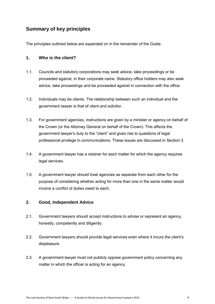# **Summary of key principles**

The principles outlined below are expanded on in the remainder of the Guide.

### **1. Who is the client?**

- 1.1. Councils and statutory corporations may seek advice, take proceedings or be proceeded against, in their corporate name. Statutory office holders may also seek advice, take proceedings and be proceeded against in connection with the office.
- 1.2. Individuals may be clients. The relationship between such an individual and the government lawyer is that of client and solicitor.
- 1.3. For government agencies, instructions are given by a minister or agency on behalf of the Crown (or the Attorney General on behalf of the Crown). This affects the government lawyer's duty to the "client" and gives rise to questions of legal professional privilege in communications. These issues are discussed in Section 3.
- 1.4. A government lawyer has a retainer for each matter for which the agency requires legal services.
- 1.5. A government lawyer should treat agencies as separate from each other for the purpose of considering whether acting for more than one in the same matter would involve a conflict of duties owed to each.

### **2. Good, Independent Advice**

- 2.1. Government lawyers should accept instructions to advise or represent an agency, honestly, competently and diligently.
- 2.2. Government lawyers should provide legal services even where it incurs the client's displeasure.
- 2.3. A government lawyer must not publicly oppose government policy concerning any matter in which the officer is acting for an agency.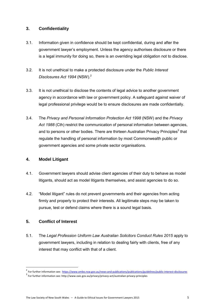### **3. Confidentiality**

- 3.1. Information given in confidence should be kept confidential, during and after the government lawyer's employment. Unless the agency authorises disclosure or there is a legal immunity for doing so, there is an overriding legal obligation not to disclose.
- 3.2. It is not unethical to make a protected disclosure under the *Public Interest Disclosures Act 1994* (NSW).<sup>2</sup>
- 3.3. It is not unethical to disclose the contents of legal advice to another government agency in accordance with law or government policy. A safeguard against waiver of legal professional privilege would be to ensure disclosures are made confidentially.
- 3.4. The *Privacy and Personal Information Protection Act 1998* (NSW) and the *Privacy Act 1988* (Cth) restrict the communication of personal information between agencies, and to persons or other bodies. There are thirteen Australian Privacy Principles<sup>3</sup> that regulate the handling of personal information by most Commonwealth public or government agencies and some private sector organisations.

### **4. Model Litigant**

- 4.1. Government lawyers should advise client agencies of their duty to behave as model litigants, should act as model litigants themselves, and assist agencies to do so.
- 4.2. "Model litigant" rules do not prevent governments and their agencies from acting firmly and properly to protect their interests. All legitimate steps may be taken to pursue, test or defend claims where there is a sound legal basis.

# **5. Conflict of Interest**

**.** 

5.1. The *Legal Profession Uniform Law Australian Solicitors Conduct Rules 2015* apply to government lawyers, including in relation to dealing fairly with clients, free of any interest that may conflict with that of a client.

<sup>&</sup>lt;sup>2</sup> For further information see:<https://www.ombo.nsw.gov.au/news-and-publications/publications/guidelines/public-interest-disclosures>

<sup>&</sup>lt;sup>3</sup> For further information see: http://www.oaic.gov.au/privacy/privacy-act/australian-privacy-principles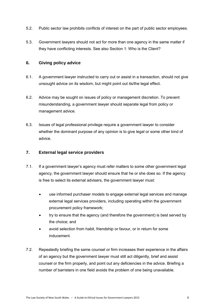- 5.2. Public sector law prohibits conflicts of interest on the part of public sector employees.
- 5.3. Government lawyers should not act for more than one agency in the same matter if they have conflicting interests. See also Section 1: Who is the Client?

### **6. Giving policy advice**

- 6.1. A government lawyer instructed to carry out or assist in a transaction, should not give unsought advice on its wisdom, but might point out its/the legal effect.
- 6.2. Advice may be sought on issues of policy or management discretion. To prevent misunderstanding, a government lawyer should separate legal from policy or management advice.
- 6.3. Issues of legal professional privilege require a government lawyer to consider whether the dominant purpose of any opinion is to give legal or some other kind of advice.

### **7. External legal service providers**

- 7.1. If a government lawyer's agency must refer matters to some other government legal agency, the government lawyer should ensure that he or she does so. If the agency is free to select its external advisers, the government lawyer must:
	- use informed purchaser models to engage external legal services and manage external legal services providers, including operating within the government procurement policy framework;
	- try to ensure that the agency (and therefore the government) is best served by the choice; and
	- avoid selection from habit, friendship or favour, or in return for some inducement.
- 7.2. Repeatedly briefing the same counsel or firm increases their experience in the affairs of an agency but the government lawyer must still act diligently, brief and assist counsel or the firm properly, and point out any deficiencies in the advice. Briefing a number of barristers in one field avoids the problem of one being unavailable.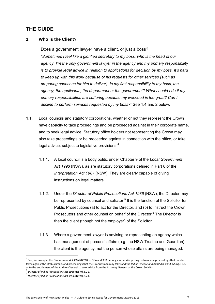# **THE GUIDE**

### **1. Who is the Client?**

Does a government lawyer have a client, or just a boss? *"Sometimes I feel like a glorified secretary to my boss, who is the head of our agency. I'm the only government lawyer in the agency and my primary responsibility is to provide legal advice in relation to applications for decision by my boss. It's hard to keep up with this work because of his requests for other services (such as preparing speeches for him to deliver). Is my first responsibility to my boss, the agency, the applicants, the department or the government? What should I do if my primary responsibilities are suffering because my workload is too great? Can I decline to perform services requested by my boss?"* See 1.4 and 2 below.

- 1.1. Local councils and statutory corporations, whether or not they represent the Crown have capacity to take proceedings and be proceeded against in their corporate name, and to seek legal advice. Statutory office holders not representing the Crown may also take proceedings or be proceeded against in connection with the office, or take legal advice, subject to legislative provisions.<sup>4</sup>
	- 1.1.1. A local council is a body politic under Chapter 9 of the *Local Government Act 1993* (NSW), as are statutory corporations defined in Part 8 of the *Interpretation Act 1987* (NSW). They are clearly capable of giving instructions on legal matters.
	- 1.1.2. Under the *Director of Public Prosecutions Act 1986* (NSW), the Director may be represented by counsel and solicitor.<sup>5</sup> It is the function of the Solicitor for Public Prosecutions (a) to act for the Director, and (b) to instruct the Crown Prosecutors and other counsel on behalf of the Director.<sup>6</sup> The Director is then the client (though not the employer) of the Solicitor.
	- 1.1.3. Where a government lawyer is advising or representing an agency which has management of persons' affairs (e.g. the NSW Trustee and Guardian), the client is the agency, not the person whose affairs are being managed.

 $\overline{a}$ 

<sup>4</sup> See, for example, the *Ombudsman Act 1974* (NSW), ss.35A and 35B (amongst others) imposing restraints on proceedings that may be taken against the Ombudsman, and proceedings that the Ombudsman may take; and the *Public Finance and Audit Act 1983* (NSW), s.33, as to the entitlement of the Auditor-General to seek advice from the Attorney General or the Crown Solicitor.<br>5 Director of Bublic Bases wises Act 4006 (NSM), s.24

*Director of Public Prosecutions Act 1986* (NSW), s.21.

<sup>6</sup> *Director of Public Prosecutions Act 1986* (NSW), s.23.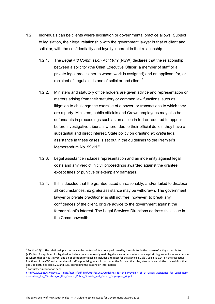- 1.2. Individuals can be clients where legislation or governmental practice allows. Subject to legislation, their legal relationship with the government lawyer is that of client and solicitor, with the confidentiality and loyalty inherent in that relationship.
	- 1.2.1. The *Legal Aid Commission Act 1979* (NSW) declares that the relationship between a solicitor (the Chief Executive Officer, a member of staff or a private legal practitioner to whom work is assigned) and an applicant for, or recipient of, legal aid, is one of solicitor and client.<sup>7</sup>
	- 1.2.2. Ministers and statutory office holders are given advice and representation on matters arising from their statutory or common law functions, such as litigation to challenge the exercise of a power, or transactions to which they are a party. Ministers, public officials and Crown employees may also be defendants in proceedings such as an action in tort or required to appear before investigative tribunals where, due to their official duties, they have a substantial and direct interest. State policy on granting *ex gratia* legal assistance in these cases is set out in the guidelines to the Premier's Memorandum No. 99-11.<sup>8</sup>
	- 1.2.3. Legal assistance includes representation and an indemnity against legal costs and any verdict in civil proceedings awarded against the grantee, except fines or punitive or exemplary damages.
	- 1.2.4. If it is decided that the grantee acted unreasonably, and/or failed to disclose all circumstances, *ex gratia* assistance may be withdrawn. The government lawyer or private practitioner is still not free, however, to break any confidences of the client, or give advice to the government against the former client's interest. The Legal Services Directions address this issue in the Commonwealth.

 $^7$  Section 25(1). The relationship arises only in the context of functions performed by the solicitor in the course of acting as a solicitor (s.25(1A)). An applicant for legal aid includes a person who only seeks legal advice. A person to whom legal aid is granted includes a person to whom that advice is given; and an application for legal aid includes a request for that advice: s.25(6). See also s.24, on the respective functions of the CEO and a member of staff in practising as a solicitor under the Act, and the rules, standards and duties of a solicitor that apply to both. See also s.25, and s.26, prohibiting the passing on information.

<sup>8</sup> For further information see:

http://www.dpc.nsw.gov.au/\_data/assets/pdf\_file/0014/15062/Guidelines\_for\_the\_Provision\_of\_Ex\_Gratia\_Assistance\_for\_Legal\_Repr [esentation\\_for\\_Ministers\\_of\\_the\\_Crown,\\_Public\\_Officials\\_and\\_Crown\\_Employees\\_v2.pdf](http://www.dpc.nsw.gov.au/__data/assets/pdf_file/0014/15062/Guidelines_for_the_Provision_of_Ex_Gratia_Assistance_for_Legal_Representation_for_Ministers_of_the_Crown,_Public_Officials_and_Crown_Employees_v2.pdf)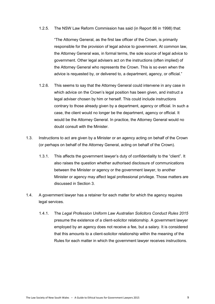#### 1.2.5. The NSW Law Reform Commission has said (in Report 86 in 1998) that:

"The Attorney General, as the first law officer of the Crown, is primarily responsible for the provision of legal advice to government. At common law, the Attorney General was, in formal terms, the sole source of legal advice to government. Other legal advisers act on the instructions (often implied) of the Attorney General who represents the Crown. This is so even when the advice is requested by, or delivered to, a department, agency, or official."

- 1.2.6. This seems to say that the Attorney General could intervene in any case in which advice on the Crown's legal position has been given, and instruct a legal adviser chosen by him or herself. This could include instructions contrary to those already given by a department, agency or official. In such a case, the client would no longer be the department, agency or official. It would be the Attorney General. In practice, the Attorney General would no doubt consult with the Minister.
- 1.3. Instructions to act are given by a Minister or an agency acting on behalf of the Crown (or perhaps on behalf of the Attorney General, acting on behalf of the Crown).
	- 1.3.1. This affects the government lawyer's duty of confidentiality to the "client". It also raises the question whether authorised disclosure of communications between the Minister or agency or the government lawyer, to another Minister or agency may affect legal professional privilege. Those matters are discussed in Section 3.
- 1.4. A government lawyer has a retainer for each matter for which the agency requires legal services.
	- 1.4.1. The *Legal Profession Uniform Law Australian Solicitors Conduct Rules 2015* presume the existence of a client-solicitor relationship. A government lawyer employed by an agency does not receive a fee, but a salary. It is considered that this amounts to a client-solicitor relationship within the meaning of the Rules for each matter in which the government lawyer receives instructions.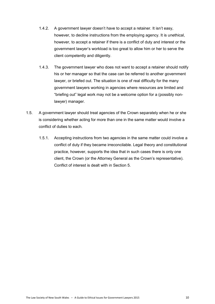- 1.4.2. A government lawyer doesn't have to accept a retainer. It isn't easy, however, to decline instructions from the employing agency. It is unethical, however, to accept a retainer if there is a conflict of duty and interest or the government lawyer's workload is too great to allow him or her to serve the client competently and diligently.
- 1.4.3. The government lawyer who does not want to accept a retainer should notify his or her manager so that the case can be referred to another government lawyer, or briefed out. The situation is one of real difficulty for the many government lawyers working in agencies where resources are limited and "briefing out" legal work may not be a welcome option for a (possibly nonlawyer) manager.
- 1.5. A government lawyer should treat agencies of the Crown separately when he or she is considering whether acting for more than one in the same matter would involve a conflict of duties to each.
	- 1.5.1. Accepting instructions from two agencies in the same matter could involve a conflict of duty if they became irreconcilable. Legal theory and constitutional practice, however, supports the idea that in such cases there is only one client, the Crown (or the Attorney General as the Crown's representative). Conflict of interest is dealt with in Section 5.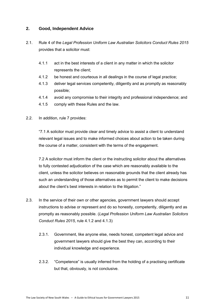### **2. Good, Independent Advice**

- 2.1. Rule 4 of the *Legal Profession Uniform Law Australian Solicitors Conduct Rules 2015*  provides that a solicitor must:
	- 4.1.1 act in the best interests of a client in any matter in which the solicitor represents the client;
	- 4.1.2 be honest and courteous in all dealings in the course of legal practice;
	- 4.1.3 deliver legal services competently, diligently and as promptly as reasonably possible;
	- 4.1.4 avoid any compromise to their integrity and professional independence; and
	- 4.1.5 comply with these Rules and the law.
- 2.2. In addition, rule 7 provides:

"7.1 A solicitor must provide clear and timely advice to assist a client to understand relevant legal issues and to make informed choices about action to be taken during the course of a matter, consistent with the terms of the engagement.

7.2 A solicitor must inform the client or the instructing solicitor about the alternatives to fully contested adjudication of the case which are reasonably available to the client, unless the solicitor believes on reasonable grounds that the client already has such an understanding of those alternatives as to permit the client to make decisions about the client's best interests in relation to the litigation."

- 2.3. In the service of their own or other agencies, government lawyers should accept instructions to advise or represent and do so honestly, competently, diligently and as promptly as reasonably possible. (*Legal Profession Uniform Law Australian Solicitors Conduct Rules 2015*, rule 4.1.2 and 4.1.3)
	- 2.3.1. Government, like anyone else, needs honest, competent legal advice and government lawyers should give the best they can, according to their individual knowledge and experience.
	- 2.3.2. "Competence" is usually inferred from the holding of a practising certificate but that, obviously, is not conclusive.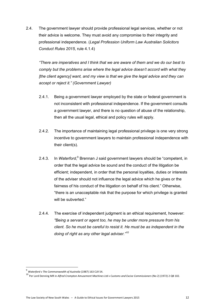2.4. The government lawyer should provide professional legal services, whether or not their advice is welcome. They must avoid any compromise to their integrity and professional independence. (*Legal Profession Uniform Law Australian Solicitors Conduct Rules 2015*, rule 4.1.4)

*"There are imperatives and I think that we are aware of them and we do our best to comply but the problems arise where the legal advice doesn't accord with what they [the client agency] want, and my view is that we give the legal advice and they can accept or reject it." (Government Lawyer)* 

- 2.4.1. Being a government lawyer employed by the state or federal government is not inconsistent with professional independence. If the government consults a government lawyer, and there is no question of abuse of the relationship, then all the usual legal, ethical and policy rules will apply.
- 2.4.2. The importance of maintaining legal professional privilege is one very strong incentive to government lawyers to maintain professional independence with their client(s).
- 2.4.3. In Waterford,<sup>9</sup> Brennan J said government lawyers should be "competent, in order that the legal advice be sound and the conduct of the litigation be efficient; independent, in order that the personal loyalties, duties or interests of the adviser should not influence the legal advice which he gives or the fairness of his conduct of the litigation on behalf of his client." Otherwise, "there is an unacceptable risk that the purpose for which privilege is granted will be subverted."
- 2.4.4. The exercise of independent judgment is an ethical requirement, however: *"Being a servant or agent too, he may be under more pressure from his client. So he must be careful to resist it. He must be as independent in the doing of right as any other legal adviser."<sup>10</sup>*

<sup>9</sup> *Waterford v The Commonwealth of Australia* (1987) 163 CLR 54.

<sup>10</sup> Per Lord Denning MR in *Alfred Crompton Amusement Machines Ltd v Customs and Excise Commissioners* (No 2) (1972) 2 QB 102.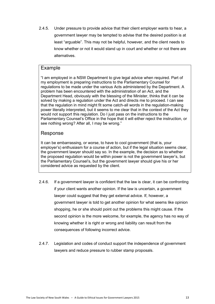2.4.5. Under pressure to provide advice that their client employer wants to hear, a government lawyer may be tempted to advise that the desired position is at least "arguable". This may not be helpful, however, and the client needs to know whether or not it would stand up in court and whether or not there are alternatives.

# Example

"I am employed in a NSW Department to give legal advice when required. Part of my employment is preparing instructions to the Parliamentary Counsel for regulations to be made under the various Acts administered by the Department. A problem has been encountered with the administration of an Act, and the Department Head, obviously with the blessing of the Minister, thinks that it can be solved by making a regulation under the Act and directs me to proceed. I can see that the regulation in mind might fit some catch-all words in the regulation-making power literally interpreted, but it seems to me clear that in the context of the Act they would not support this regulation. Do I just pass on the instructions to the Parliamentary Counsel's Office in the hope that it will either reject the instruction, or see nothing wrong? After all, I may be wrong."

# Response

It can be embarrassing, or worse, to have to cool government (that is, your employer's) enthusiasm for a course of action, but if the legal situation seems clear, the government lawyer should say so. In the example, the decision as to whether the proposed regulation would be within power is not the government lawyer's, but the Parliamentary Counsel's, but the government lawyer should give his or her considered advice as requested by the client.

- 2.4.6. If a government lawyer is confident that the law is clear, it can be confronting if your client wants another opinion. If the law is uncertain, a government lawyer could suggest that they get external advice. If, however, a government lawyer is told to get another opinion for what seems like opinion shopping, he or she should point out the problems this might cause. If the second opinion is the more welcome, for example, the agency has no way of knowing whether it is right or wrong and liability can result from the consequences of following incorrect advice.
- 2.4.7. Legislation and codes of conduct support the independence of government lawyers and reduce pressure to rubber stamp proposals.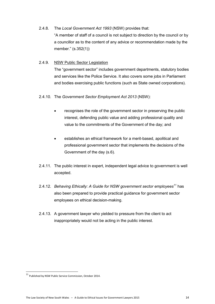# 2.4.8. The *Local Government Act 1993* (NSW) provides that: "A member of staff of a council is not subject to direction by the council or by a councillor as to the content of any advice or recommendation made by the member." (s.352(1))

### 2.4.9. NSW Public Sector Legislation

The "government sector" includes government departments, statutory bodies and services like the Police Service. It also covers some jobs in Parliament and bodies exercising public functions (such as State owned corporations).

### 2.4.10. The *Government Sector Employment Act 2013* (NSW):

- recognises the role of the government sector in preserving the public interest, defending public value and adding professional quality and value to the commitments of the Government of the day; and
- establishes an ethical framework for a merit-based, apolitical and professional government sector that implements the decisions of the Government of the day (s.6).
- 2.4.11. The public interest in expert, independent legal advice to government is well accepted.
- 2.4.12. *Behaving Ethically: A Guide for NSW government sector employees<sup>11</sup>* has also been prepared to provide practical guidance for government sector employees on ethical decision-making.
- 2.4.13. A government lawyer who yielded to pressure from the client to act inappropriately would not be acting in the public interest.

<sup>&</sup>lt;sup>11</sup> Published by NSW Public Service Commission, October 2014.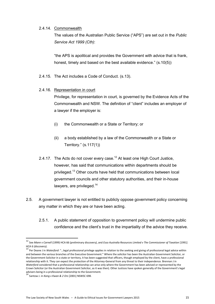#### 2.4.14. Commonwealth

The values of the Australian Public Service ("APS") are set out in the *Public Service Act 1999 (Cth)*:

"the APS is apolitical and provides the Government with advice that is frank, honest, timely and based on the best available evidence." (s.10(5))

2.4.15. The Act includes a Code of Conduct. (s.13).

### 2.4.16. Representation in court

Privilege, for representation in court, is governed by the Evidence Acts of the Commonwealth and NSW. The definition of "client" includes an employer of a lawyer if the employer is:

- (i) the Commonwealth or a State or Territory; or
- (ii) a body established by a law of the Commonwealth or a State or Territory." (s.117(1))
- 2.4.17. The Acts do not cover every case.<sup>12</sup> At least one High Court Justice, however, has said that communications within departments should be privileged.<sup>13</sup> Other courts have held that communications between local government councils and other statutory authorities, and their in-house lawyers, are privileged. $14$
- 2.5. A government lawyer is not entitled to publicly oppose government policy concerning any matter in which they are or have been acting.
	- 2.5.1. A public statement of opposition to government policy will undermine public confidence and the client's trust in the impartiality of the advice they receive.

1

<sup>12</sup> See *Mann v Carnell* (1999) HCA 66 (preliminary discovery), and *Esso Australia Resources Limited v The Commissioner of Taxation* [1991] HCA 6 (discovery).

<sup>13</sup> Per Deane J in *Waterford*: "…legal professional privilege applies in relation to the seeking and giving of professional legal advice within and between the various branches of the Executive Government." Where the solicitor has been the Australian Government Solicitor, or the Government Solicitor in a state or territory, it has been suggested that officers, though employed by the client, have a professional relationship with it. They can expect the protection of the Attorney-General from any threat to their independence. Brennan J in *Waterford* considered that a professional relationship can arise only where the Government has been advised or represented by the Crown Solicitor (or the Australian Government Solicitor, as it was then). Other Justices have spoken generally of the Government's legal

advisers being in a professional relationship to the Government. <sup>14</sup> Santow J. in *Kang v Kwan & 2 Ors* [2001] NSWSC 698.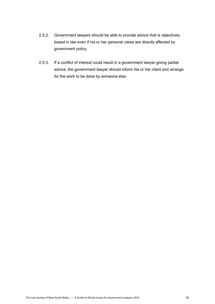- 2.5.2. Government lawyers should be able to provide advice that is objectively based in law even if his or her personal views are directly affected by government policy.
- 2.5.3. If a conflict of interest could result in a government lawyer giving partial advice, the government lawyer should inform his or her client and arrange for the work to be done by someone else.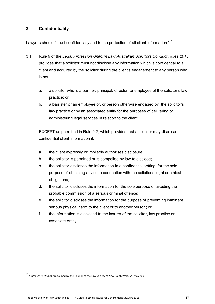### **3. Confidentiality**

Lawyers should "...act confidentially and in the protection of all client information."<sup>15</sup>

- 3.1. Rule 9 of the *Legal Profession Uniform Law Australian Solicitors Conduct Rules 2015* provides that a solicitor must not disclose any information which is confidential to a client and acquired by the solicitor during the client's engagement to any person who is not:
	- a. a solicitor who is a partner, principal, director, or employee of the solicitor's law practice; or
	- b. a barrister or an employee of, or person otherwise engaged by, the solicitor's law practice or by an associated entity for the purposes of delivering or administering legal services in relation to the client,

EXCEPT as permitted in Rule 9.2, which provides that a solicitor may disclose confidential client information if:

- a. the client expressly or impliedly authorises disclosure;
- b. the solicitor is permitted or is compelled by law to disclose;
- c. the solicitor discloses the information in a confidential setting, for the sole purpose of obtaining advice in connection with the solicitor's legal or ethical obligations;
- d. the solicitor discloses the information for the sole purpose of avoiding the probable commission of a serious criminal offence;
- e. the solicitor discloses the information for the purpose of preventing imminent serious physical harm to the client or to another person; or
- f. the information is disclosed to the insurer of the solicitor, law practice or associate entity.

<sup>15</sup> *Statement of Ethics* Proclaimed by the Council of the Law Society of New South Wales 28 May 2009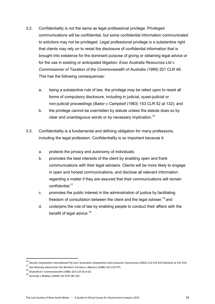- 3.2. Confidentiality is not the same as legal professional privilege. Privileged communications will be confidential, but some confidential information communicated to solicitors may not be privileged. Legal professional privilege is a substantive right that clients may rely on to resist the disclosure of confidential information that is brought into existence for the dominant purpose of giving or obtaining legal advice or for the use in existing or anticipated litigation: *Esso Australia Resources Ltd v Commissioner of Taxation of the Commonwealth of Australia* (1999) 201 CLR 49. This has the following consequences:
	- a. being a substantive rule of law, the privilege may be relied upon to resist all forms of compulsory disclosure, including in judicial, quasi-judicial or non-judicial proceedings (*Baker v Campbell* (1983) 153 CLR 52 at 132); and
	- b. the privilege cannot be overridden by statute unless the statute does so by clear and unambiguous words or by necessary implication.<sup>16</sup>
- 3.3. Confidentiality is a fundamental and defining obligation for many professions, including the legal profession. Confidentiality is so important because it:
	- a. protects the privacy and autonomy of individuals;
	- b. promotes the best interests of the client by enabling open and frank communications with their legal advisers. Clients will be more likely to engage in open and honest communications, and disclose all relevant information regarding a matter if they are assured that their communications will remain confidential:<sup>17</sup>
	- c. promotes the public interest in the administration of justice by facilitating freedom of consultation between the client and the legal adviser:  $18$  and
	- d. underpins the rule of law by enabling people to conduct their affairs with the benefit of legal advice.<sup>19</sup>

<sup>16</sup> *Daniels Corporation International Pty Ltd v Australian Competition and Consumer Commission* (2002) 213 CLR 543 (*Daniels*) at 552-553.

<sup>17</sup> See *Attorney-General for the Northern Territory v Maurice* (1986) 161 CLR 475.

<sup>18</sup> *Waterford v Commonwealth* (1986) 163 CLR 54 at 62.

<sup>19</sup> *Kennedy v Wallace* (2004) 142 FCR 185 201.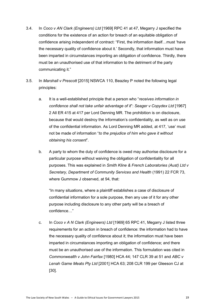- 3.4. In *Coco v AN Clark (Engineers) Ltd* [1969] RPC 41 at 47, Megarry J specified the conditions for the existence of an action for breach of an equitable obligation of confidence arising independent of contract: "First, the information itself…must 'have the necessary quality of confidence about it.' Secondly, that information must have been imparted in circumstances importing an obligation of confidence. Thirdly, there must be an unauthorised use of that information to the detriment of the party communicating it."
- 3.5. In *Marshall v Prescott* [2015] NSWCA 110, Beazley P noted the following legal principles:
	- a. It is a well-established principle that a person who "*receives information in confidence shall not take unfair advantage of it*": *Seager v Copydex Ltd* [1967] 2 All ER 415 at 417 per Lord Denning MR. The prohibition is on disclosure, because that would destroy the information's confidentiality, as well as on use of the confidential information. As Lord Denning MR added, at 417, 'use' must not be made of information "*to the prejudice of him who gave it without obtaining his consent*".
	- b. A party to whom the duty of confidence is owed may authorise disclosure for a particular purpose without waiving the obligation of confidentiality for all purposes. This was explained in *Smith Kline & French Laboratories (Aust) Ltd v Secretary, Department of Community Services and Health* (1991) 22 FCR 73, where Gummow J observed, at 94, that:

"In many situations, where a plaintiff establishes a case of disclosure of confidential information for a sole purpose, then any use of it for any other purpose including disclosure to any other party will be a breach of confidence…"

c. In *Coco v A N Clark (Engineers) Ltd* [1969] 65 RPC 41, Megarry J listed three requirements for an action in breach of confidence: the information had to have the necessary quality of confidence about it; the information must have been imparted in circumstances importing an obligation of confidence; and there must be an unauthorised use of the information. This formulation was cited in *Commonwealth v John Fairfax* [1980] HCA 44; 147 CLR 39 at 51 and *ABC v Lenah Game Meats Pty Ltd* [2001] HCA 63; 208 CLR 199 per Gleeson CJ at [30].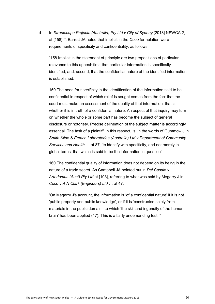d. In *Streetscape Projects (Australia) Pty Ltd v City of Sydney* [2013] NSWCA 2, at [158] ff, Barrett JA noted that implicit in the *Coco* formulation were requirements of specificity and confidentiality, as follows:

"158 Implicit in the statement of principle are two propositions of particular relevance to this appeal: first, that particular information is specifically identified; and, second, that the confidential nature of the identified information is established.

159 The need for specificity in the identification of the information said to be confidential in respect of which relief is sought comes from the fact that the court must make an assessment of the quality of that information, that is, whether it is in truth of a confidential nature. An aspect of that inquiry may turn on whether the whole or some part has become the subject of general disclosure or notoriety. Precise delineation of the subject matter is accordingly essential. The task of a plaintiff, in this respect, is, in the words of Gummow J in *Smith Kline & French Laboratories (Australia) Ltd v Department of Community Services and Health* … at 87, 'to identify with specificity, and not merely in global terms, that which is said to be the information in question'.

160 The confidential quality of information does not depend on its being in the nature of a trade secret. As Campbell JA pointed out in *Del Casale v Artedomus (Aust) Pty Ltd* at [103], referring to what was said by Megarry J in *Coco v A N Clark (Engineers) Ltd* … at 47:

'On Megarry J's account, the information is 'of a confidential nature' if it is not 'public property and public knowledge', or if it is 'constructed solely from materials in the public domain', to which 'the skill and ingenuity of the human brain' has been applied (47). This is a fairly undemanding test.'"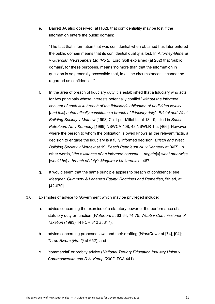e. Barrett JA also observed, at [162], that confidentiality may be lost if the information enters the public domain:

"The fact that information that was confidential when obtained has later entered the public domain means that its confidential quality is lost. In *Attorney-General v Guardian Newspapers Ltd (No 2)*, Lord Goff explained (at 282) that 'public domain', for these purposes, means 'no more than that the information in question is so generally accessible that, in all the circumstances, it cannot be regarded as confidential'."

- f. In the area of breach of fiduciary duty it is established that a fiduciary who acts for two principals whose interests potentially conflict "*without the informed consent of each is in breach of the fiduciary's obligation of undivided loyalty*  [*and this*] *automatically constitutes a breach of fiduciary duty*": *Bristol and West Building Society v Mothew* [1998] Ch 1 per Millet LJ at 18-19, cited in *Beach Petroleum NL v Kennedy* [1999] NSWCA 408; 48 NSWLR 1 at [466]. However, where the person to whom the obligation is owed knows all the relevant facts, a decision to engage the fiduciary is a fully informed decision: *Bristol and West Building Society v Mothew* at 19; *Beach Petroleum NL v Kennedy* at [467]. In other words, "*the existence of an informed consent ... negate*[*s*] *what otherwise*  [*would be*] *a breach of duty*": *Maguire v Makaronis* at 467.
- g. It would seem that the same principle applies to breach of confidence: see *Meagher, Gummow & Lehane's Equity: Doctrines and Remedies*, 5th ed, at [42-070].
- 3.6. Examples of advice to Government which may be privileged include:
	- a. advice concerning the exercise of a statutory power or the performance of a statutory duty or function (*Waterford* at 63-64, 74-75; *Webb v Commissioner of Taxation* (1993) 44 FCR 312 at 317);
	- b. advice concerning proposed laws and their drafting (*WorkCover* at [74], [94]; *Three Rivers (No. 6)* at 652); and
	- c. 'commercial' or probity advice (*National Tertiary Education Industry Union v Commonwealth and D.A. Kemp* [2002] FCA 441).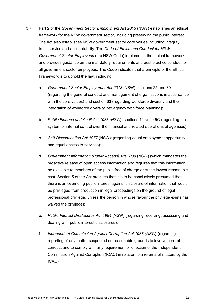- 3.7. Part 2 of the *Government Sector Employment Act 2013* (NSW) establishes an ethical framework for the NSW government sector, including preserving the public interest. The Act also establishes NSW government sector core values including integrity, trust, service and accountability. The *Code of Ethics and Conduct for NSW Government Sector Employees* (the NSW Code) implements the ethical framework and provides guidance on the mandatory requirements and best practice conduct for all government sector employees. The Code indicates that a principle of the Ethical Framework is to uphold the law, including:
	- a. *Government Sector Employment Act 2013* (NSW): sections 25 and 30 (regarding the general conduct and management of organisations in accordance with the core values) and section 63 (regarding workforce diversity and the integration of workforce diversity into agency workforce planning);
	- b. *Public Finance and Audit Act 1983 (NSW):* sections 11 and 45C (regarding the system of internal control over the financial and related operations of agencies);
	- c. *Anti-Discrimination Act 1977* (NSW): (regarding equal employment opportunity and equal access to services);
	- d. *Government Information (Public Access) Act 2009* (NSW) (which mandates the proactive release of open access information and requires that this information be available to members of the public free of charge or at the lowest reasonable cost. Section 5 of the Act provides that it is to be conclusively presumed that there is an overriding public interest against disclosure of information that would be privileged from production in legal proceedings on the ground of legal professional privilege, unless the person in whose favour the privilege exists has waived the privilege);
	- e. *Public Interest Disclosures Act 1994* (NSW) (regarding receiving, assessing and dealing with public interest disclosures);
	- f. *Independent Commission Against Corruption Act 1988 (NSW)* (regarding reporting of any matter suspected on reasonable grounds to involve corrupt conduct and to comply with any requirement or direction of the Independent Commission Against Corruption (ICAC) in relation to a referral of matters by the ICAC);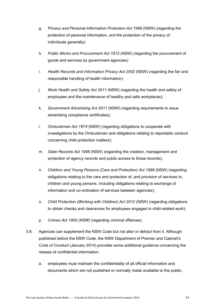- g. *Privacy and Personal Information Protection Act 1998* (NSW) (regarding the protection of personal information, and the protection of the privacy of individuals generally);
- h. *Public Works and Procurement Act 1912* (NSW) (regarding the procurement of goods and services by government agencies);
- i. *Health Records and Information Privacy Act 2002* (NSW) (regarding the fair and responsible handling of health information);
- j. *Work Health and Safety Act 2011* (NSW) (regarding the health and safety of employees and the maintenance of healthy and safe workplaces);
- k. *Government Advertising Act 2011* (NSW) (regarding requirements to issue advertising compliance certificates);
- l. *Ombudsman Act 1974* (NSW) (regarding obligations to cooperate with investigations by the Ombudsman and obligations relating to reportable conduct concerning child protection matters);
- m. *State Records Act 1998* (NSW) (regarding the creation, management and protection of agency records and public access to those records);
- n. *Children and Young Persons (Care and Protection) Act 1998* (NSW) (regarding obligations relating to the care and protection of, and provision of services to, children and young persons, including obligations relating to exchange of information and co-ordination of services between agencies);
- o. *Child Protection (Working with Children) Act 2012* (NSW) (regarding obligations to obtain checks and clearances for employees engaged in child-related work);
- p. *Crimes Act 1900 (NSW)* (regarding criminal offences).
- 3.8. Agencies can supplement the NSW Code but not alter or detract from it. Although published before the NSW Code, the NSW Department of Premier and Cabinet's *Code of Conduct* (January 2014) provides some additional guidance concerning the release of confidential information:
	- a. employees must maintain the confidentiality of all official information and documents which are not published or normally made available to the public;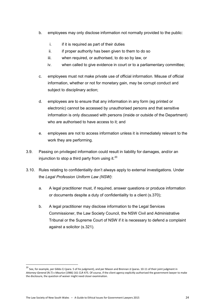- b. employees may only disclose information not normally provided to the public:
	- i. if it is required as part of their duties
	- ii. if proper authority has been given to them to do so
	- iii. when required, or authorised, to do so by law, or
	- iv. when called to give evidence in court or to a parliamentary committee;
- c. employees must not make private use of official information. Misuse of official information, whether or not for monetary gain, may be corrupt conduct and subject to disciplinary action:
- d. employees are to ensure that any information in any form (eg printed or electronic) cannot be accessed by unauthorised persons and that sensitive information is only discussed with persons (inside or outside of the Department) who are authorised to have access to it; and
- e. employees are not to access information unless it is immediately relevant to the work they are performing.
- 3.9. Passing on privileged information could result in liability for damages, and/or an injunction to stop a third party from using it. $20$
- 3.10. Rules relating to confidentiality don't always apply to external investigations. Under the *Legal Profession Uniform Law (NSW)*:
	- a. A legal practitioner must, if required, answer questions or produce information or documents despite a duty of confidentiality to a client (s.370);
	- b. A legal practitioner may disclose information to the Legal Services Commissioner, the Law Society Council, the NSW Civil and Administrative Tribunal or the Supreme Court of NSW if it is necessary to defend a complaint against a solicitor (s.321).

 $\overline{a}$ 

<sup>&</sup>lt;sup>20</sup> See, for example, per Gibbs CJ (para. 5 of his judgment), and per Mason and Brennan JJ (paras. 10-11 of their joint judgment in *Attorney-General (N.T)* v *Maurice* (1986) 161 CLR 475. Of course, if the client agency explicitly authorised the government lawyer to make the disclosure, the question of waiver might need closer examination.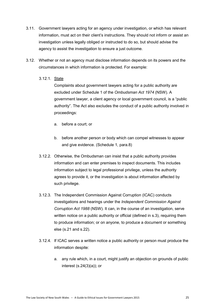- 3.11. Government lawyers acting for an agency under investigation, or which has relevant information, must act on their client's instructions. They should not inform or assist an investigation unless legally obliged or instructed to do so, but should advise the agency to assist the investigation to ensure a just outcome.
- 3.12. Whether or not an agency must disclose information depends on its powers and the circumstances in which information is protected. For example:

### 3.12.1. State

Complaints about government lawyers acting for a public authority are excluded under Schedule 1 of the *Ombudsman Act 1974* (NSW). A government lawyer, a client agency or local government council, is a "public authority". The Act also excludes the conduct of a public authority involved in proceedings:

- a. before a court; or
- b. before another person or body which can compel witnesses to appear and give evidence. (Schedule 1, para.8)
- 3.12.2. Otherwise, the Ombudsman can insist that a public authority provides information and can enter premises to inspect documents. This includes information subject to legal professional privilege, unless the authority agrees to provide it, or the investigation is about information affected by such privilege.
- 3.12.3. The Independent Commission Against Corruption (ICAC) conducts investigations and hearings under the *Independent Commission Against Corruption Act 1988* (NSW). It can, in the course of an investigation, serve written notice on a public authority or official (defined in s.3), requiring them to produce information; or on anyone, to produce a document or something else (s.21 and s.22).
- 3.12.4. If ICAC serves a written notice a public authority or person must produce the information despite:
	- a. any rule which, in a court, might justify an objection on grounds of public interest (s.24(3)(a)); or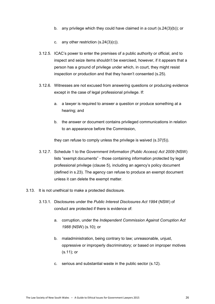- b. any privilege which they could have claimed in a court (s.24(3)(b)); or
- c. any other restriction (s.24(3)(c)).
- 3.12.5. ICAC's power to enter the premises of a public authority or official, and to inspect and seize items shouldn't be exercised, however, if it appears that a person has a ground of privilege under which, in court, they might resist inspection or production and that they haven't consented (s.25).
- 3.12.6. Witnesses are not excused from answering questions or producing evidence except in the case of legal professional privilege. If:
	- a. a lawyer is required to answer a question or produce something at a hearing; and
	- b. the answer or document contains privileged communications in relation to an appearance before the Commission,

they can refuse to comply unless the privilege is waived (s.37(5)).

- 3.12.7. Schedule 1 to the *Government Information (Public Access) Act 2009* (NSW) lists "exempt documents" - those containing information protected by legal professional privilege (clause 5), including an agency's policy document (defined in s.23). The agency can refuse to produce an exempt document unless it can delete the exempt matter.
- 3.13. It is not unethical to make a protected disclosure.
	- 3.13.1. Disclosures under the *Public Interest Disclosures Act 1994* (NSW) of conduct are protected if there is evidence of:
		- a. corruption, under the *Independent Commission Against Corruption Act 1988* (NSW) (s.10); or
		- b. maladministration, being contrary to law; unreasonable, unjust, oppressive or improperly discriminatory; or based on improper motives (s.11); or
		- c. serious and substantial waste in the public sector (s.12).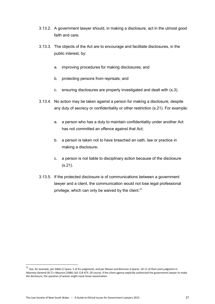- 3.13.2. A government lawyer should, in making a disclosure, act in the utmost good faith and care.
- 3.13.3. The objects of the Act are to encourage and facilitate disclosures, in the public interest, by:
	- a. improving procedures for making disclosures; and
	- b. protecting persons from reprisals; and
	- c. ensuring disclosures are properly investigated and dealt with (s.3).
- 3.13.4. No action may be taken against a person for making a disclosure, despite any duty of secrecy or confidentiality or other restriction (s.21). For example:
	- a. a person who has a duty to maintain confidentiality under another Act has not committed an offence against that Act;
	- b. a person is taken not to have breached an oath, law or practice in making a disclosure;
	- c. a person is not liable to disciplinary action because of the disclosure (s.21).
- 3.13.5. If the protected disclosure is of communications between a government lawyer and a client, the communication would not lose legal professional privilege, which can only be waived by the client. $21$

 $\overline{a}$ 

<sup>&</sup>lt;sup>21</sup> See, for example, per Gibbs CJ (para. 5 of his judgment), and per Mason and Brennan JJ (paras. 10-11 of their joint judgment in *Attorney-General (N.T)* v *Maurice* (1986) 161 CLR 475. Of course, if the client agency explicitly authorised the government lawyer to make the disclosure, the question of waiver might need closer examination.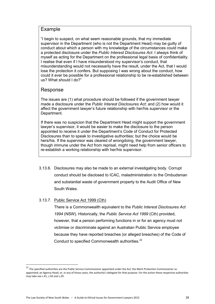### Example

"I begin to suspect, on what seem reasonable grounds, that my immediate supervisor in the Department (who is not the Department Head) may be guilty of conduct about which a person with my knowledge of the circumstances could make a protected disclosure under the *Public Interest Disclosures Act*. I always think of myself as acting for the Department on the professional legal basis of confidentiality. I realise that even if I have misunderstood my supervisor's conduct, that misunderstanding would not necessarily have the result, under the Act, that I would lose the protection it confers. But supposing I was wrong about the conduct, how could it ever be possible for a professional relationship to be re-established between us? What should I do?"

# Response

The issues are (1) what procedure should be followed if the government lawyer made a disclosure under the *Public Interest Disclosures Act*; and (2) how would it affect the government lawyer's future relationship with her/his supervisor or the Department.

If there was no suspicion that the Department Head might support the government lawyer's supervisor, it would be easier to make the disclosure to the person appointed to receive it under the Department's Code of Conduct for Protected Disclosures than to speak to investigative authorities; but the choice would be hers/his. If the supervisor was cleared of wrongdoing, the government lawyer, though immune under the Act from reprisal, might need help from senior officers to re-establish a working relationship with her/his supervisor.

3.13.6. Disclosures may also be made to an external investigating body. Corrupt conduct should be disclosed to ICAC, maladministration to the Ombudsman and substantial waste of government property to the Audit Office of New South Wales.

### 3.13.7. Public Service Act 1999 (Cth)

 $\overline{a}$ 

There is a Commonwealth equivalent to the *Public Interest Disclosures Act 1994* (NSW). Historically, the *Public Service Act 1999* (Cth) provided, however, that a person performing functions in or for an agency must not victimise or discriminate against an Australian Public Service employee because they have reported breaches (or alleged breaches) of the Code of Conduct to specified Commonwealth authorities.<sup>22</sup>

<sup>&</sup>lt;sup>22</sup> The specified authorities are the Public Service Commissioner appointed under the Act; the Merit Protection Commissioner so appointed; an Agency Head; or, in any of those cases, the authority's delegate for that purpose. For the action these respective authorities may take see s.41, s.50 and s.20.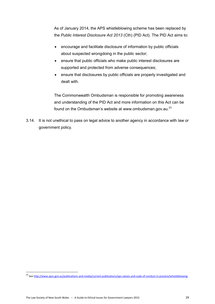As of January 2014, the APS whistleblowing scheme has been replaced by the *Public Interest Disclosure Act 2013* (Cth) (PID Act). The PID Act aims to:

- encourage and facilitate disclosure of information by public officials about suspected wrongdoing in the public sector;
- ensure that public officials who make public interest disclosures are supported and protected from adverse consequences;
- ensure that disclosures by public officials are properly investigated and dealt with.

The Commonwealth Ombudsman is responsible for promoting awareness and understanding of the PID Act and more information on this Act can be found on the Ombudsman's website at www.ombudsman.gov.au. $^{23}$ 

3.14. It is not unethical to pass on legal advice to another agency in accordance with law or government policy.

<sup>&</sup>lt;sup>23</sup> Se[e http://www.apsc.gov.au/publications-and-media/current-publications/aps-values-and-code-of-conduct-in-practice/whistleblowing](http://www.apsc.gov.au/publications-and-media/current-publications/aps-values-and-code-of-conduct-in-practice/whistleblowing)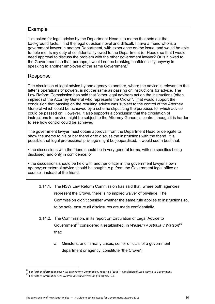### Example

"I'm asked for legal advice by the Department Head in a memo that sets out the background facts. I find the legal question novel and difficult. I have a friend who is a government lawyer in another Department, with experience on the issue, and would be able to help me. Is my duty of confidentiality owed to the Department (or Head), so that I would need approval to discuss the problem with the other government lawyer? Or is it owed to the Government, so that, perhaps, I would not be breaking confidentiality anyway in speaking to another employee of the same Government."

# Response

The circulation of legal advice by one agency to another, where the advice is relevant to the latter's operations or powers, is not the same as passing on instructions for advice. The Law Reform Commission has said that "other legal advisers act on the instructions (often implied) of the Attorney General who represents the Crown". That would support the conclusion that passing on the resulting advice was subject to the control of the Attorney General which could be achieved by a scheme stipulating the purposes for which advice could be passed on. However, it also supports a conclusion that the circulation of instructions for advice might be subject to the Attorney General's control, though it is harder to see how control could be achieved.

The government lawyer must obtain approval from the Department Head or delegate to show the memo to his or her friend or to discuss the instructions with the friend. It is possible that legal professional privilege might be jeopardised. It would seem best that:

• the discussions with the friend should be in very general terms, with no specifics being disclosed, and only in confidence; or

• the discussions should be held with another officer in the government lawyer's own agency; or external advice should be sought, e.g. from the Government legal office or counsel, instead of the friend.

- 3.14.1. The NSW Law Reform Commission has said that, where both agencies represent the Crown, there is no implied waiver of privilege. The Commission didn't consider whether the same rule applies to instructions so, to be safe, ensure all disclosures are made confidentially.
- 3.14.2. The Commission, in its report on Circulation of Legal Advice to Government<sup>24</sup> considered it established, in *Western Australia v Watson*<sup>25</sup> that:
	- a. Ministers, and in many cases, senior officials of a government department or agency, constitute "the Crown";

<sup>&</sup>lt;sup>24</sup> For further information see: NSW Law Reform Commission, Report 86 (1998) – Circulation of Legal Advice to Government

<sup>25</sup> For further information see: *Western Australia v Watson* [1990] WAR 248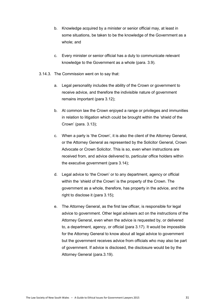- b. Knowledge acquired by a minister or senior official may, at least in some situations, be taken to be the knowledge of the Government as a whole; and
- c. Every minister or senior official has a duty to communicate relevant knowledge to the Government as a whole (para. 3.9).
- 3.14.3. The Commission went on to say that:
	- a. Legal personality includes the ability of the Crown or government to receive advice, and therefore the indivisible nature of government remains important (para 3.12);
	- b. At common law the Crown enjoyed a range or privileges and immunities in relation to litigation which could be brought within the 'shield of the Crown' (para. 3.13);
	- c. When a party is 'the Crown', it is also the client of the Attorney General, or the Attorney General as represented by the Solicitor General, Crown Advocate or Crown Solicitor. This is so, even when instructions are received from, and advice delivered to, particular office holders within the executive government (para 3.14);
	- d. Legal advice to 'the Crown' or to any department, agency or official within the 'shield of the Crown' is the property of the Crown. The government as a whole, therefore, has property in the advice, and the right to disclose it (para 3.15);
	- e. The Attorney General, as the first law officer, is responsible for legal advice to government. Other legal advisers act on the instructions of the Attorney General, even when the advice is requested by, or delivered to, a department, agency, or official (para 3.17). It would be impossible for the Attorney General to know about all legal advice to government but the government receives advice from officials who may also be part of government. If advice is disclosed, the disclosure would be by the Attorney General (para.3.19).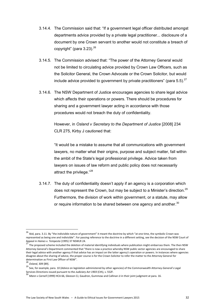- 3.14.4. The Commission said that: "If a government legal officer distributed amongst departments advice provided by a private legal practitioner... disclosure of a document by one Crown servant to another would not constitute a breach of copyright" (para  $3.23$ ).<sup>26</sup>
- 3.14.5. The Commission advised that: "The power of the Attorney General would not be limited to circulating advice provided by Crown Law Officers, such as the Solicitor General, the Crown Advocate or the Crown Solicitor, but would include advice provided to government by private practitioners" (para 5.5). $^{27}$
- 3.14.6. The NSW Department of Justice encourages agencies to share legal advice which affects their operations or powers. There should be procedures for sharing and a government lawyer acting in accordance with those procedures would not breach the duty of confidentiality.

However, in *Osland v Secretary to the Department of Justice* [2008] 234 CLR 275, Kirby J cautioned that:

"It would be a mistake to assume that all communications with government lawyers, no matter what their origins, purpose and subject matter, fall within the ambit of the State's legal professional privilege. Advice taken from lawyers on issues of law reform and public policy does not necessarily attract the privilege."<sup>28</sup>

3.14.7. The duty of confidentiality doesn't apply if an agency is a corporation which does not represent the Crown, but may be subject to a Minister's direction.<sup>29</sup> Furthermore, the division of work within government, or a statute, may allow or require information to be shared between one agency and another.<sup>30</sup>

1

<sup>&</sup>lt;sup>26</sup> Ibid, para. 3.11. By "the indivisible nature of government" it meant the doctrine by which "at one time, the symbolic Crown was represented as being one and indivisible". For passing reference to the doctrine in a different setting, see the decision of the NSW Court of

Appeal in *Haines v. Tempesta* (1995) 37 NSWLR 24.<br><sup>27</sup> The proposed scheme included the deletion of material identifying individuals where publication might embarrass them. The then NSW Attorney General's Department commented that "there is now a practice whereby NSW public sector agencies are encouraged to share their legal advice with another agency if that advice has an impact on the latter agency's operation or powers. In instances where agencies disagree about the sharing of advice, the proper course is for the Crown Solicitor to refer the matter to the Attorney General for determination as First Law Officer of NSW".

<sup>28</sup> *Osland*, 309 [89].

<sup>29</sup> See, for example, para. 10 (Advice on legislation administered by other agencies) of the Commonwealth Attorney-General's Legal Services Directions issued pursuant to the *Judiciary Act 1903* (Cth), s. 55ZF.

<sup>30</sup> *Mann v Carnell* (1999) HCA 66, Gleeson CJ, Gaudron, Gummow and Callinan JJ in their joint judgment at para. 16.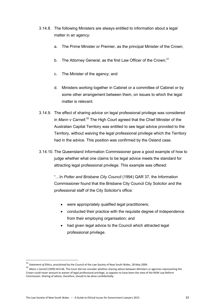- 3.14.8. The following Ministers are always entitled to information about a legal matter in an agency:
	- a. The Prime Minister or Premier, as the principal Minister of the Crown;
	- b. The Attorney General, as the first Law Officer of the Crown; $31$
	- c. The Minister of the agency; and
	- d. Ministers working together in Cabinet or a committee of Cabinet or by some other arrangement between them, on issues to which the legal matter is relevant.
- 3.14.9. The effect of sharing advice on legal professional privilege was considered in *Mann v Carnell*. <sup>32</sup> The High Court agreed that the Chief Minister of the Australian Capital Territory was entitled to see legal advice provided to the Territory, without waiving the legal professional privilege which the Territory had in the advice. This position was confirmed by the Osland case.
- 3.14.10. The Queensland Information Commissioner gave a good example of how to judge whether what one claims to be legal advice meets the standard for attracting legal professional privilege. This example was offered:

"…In *Potter and Brisbane City Council* (1994) QAR 37, the Information Commissioner found that the Brisbane City Council City Solicitor and the professional staff of the City Solicitor's office:

- were appropriately qualified legal practitioners;
- conducted their practice with the requisite degree of independence from their employing organisation; and
- had given legal advice to the Council which attracted legal professional privilege.

1

<sup>31</sup> *Statement of Ethics*, proclaimed by the Council of the Law Society of New South Wales, 28 May 2009.

<sup>32</sup> *Mann v Carnell* (1999) HCA 66. The Court did not consider whether sharing advice between Ministers or agencies representing the Crown could never amount to waiver of legal professional privilege, as appears to have been the view of the NSW Law Reform Commission. Sharing of advice, therefore, should to be done confidentially.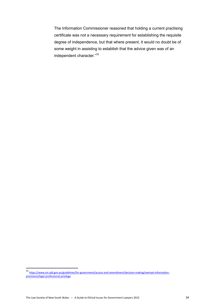The Information Commissioner reasoned that holding a current practising certificate was not a necessary requirement for establishing the requisite degree of independence, but that where present, it would no doubt be of some weight in assisting to establish that the advice given was of an independent character."<sup>33</sup>

<sup>33</sup> [https://www.oic.qld.gov.au/guidelines/for-government/access-and-amendment/decision-making/exempt-information](https://www.oic.qld.gov.au/guidelines/for-government/access-and-amendment/decision-making/exempt-information-provisions/legal-professional-privilege)[provisions/legal-professional-privilege](https://www.oic.qld.gov.au/guidelines/for-government/access-and-amendment/decision-making/exempt-information-provisions/legal-professional-privilege)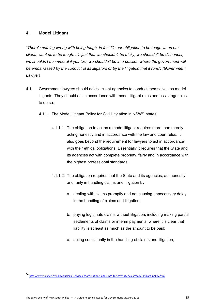### **4. Model Litigant**

*"There's nothing wrong with being tough, in fact it's our obligation to be tough when our clients want us to be tough. It's just that we shouldn't be tricky, we shouldn't be dishonest, we shouldn't be immoral if you like, we shouldn't be in a position where the government will be embarrassed by the conduct of its litigators or by the litigation that it runs". (Government Lawyer)*

- 4.1. Government lawyers should advise client agencies to conduct themselves as model litigants. They should act in accordance with model litigant rules and assist agencies to do so.
	- 4.1.1. The Model Litigant Policy for Civil Litigation in NSW<sup>34</sup> states:
		- 4.1.1.1. The obligation to act as a model litigant requires more than merely acting honestly and in accordance with the law and court rules. It also goes beyond the requirement for lawyers to act in accordance with their ethical obligations. Essentially it requires that the State and its agencies act with complete propriety, fairly and in accordance with the highest professional standards.
		- 4.1.1.2. The obligation requires that the State and its agencies, act honestly and fairly in handling claims and litigation by:
			- a. dealing with claims promptly and not causing unnecessary delay in the handling of claims and litigation;
			- b. paying legitimate claims without litigation, including making partial settlements of claims or interim payments, where it is clear that liability is at least as much as the amount to be paid;
			- c. acting consistently in the handling of claims and litigation;

 $\overline{a}$ 

<sup>34</sup> <http://www.justice.nsw.gov.au/legal-services-coordination/Pages/info-for-govt-agencies/model-litigant-policy.aspx>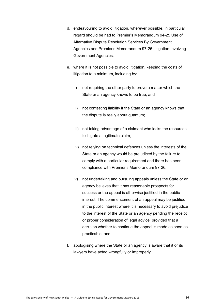- d. endeavouring to avoid litigation, wherever possible, in particular regard should be had to Premier's Memorandum 94-25 Use of Alternative Dispute Resolution Services By Government Agencies and Premier's Memorandum 97-26 Litigation Involving Government Agencies;
- e. where it is not possible to avoid litigation, keeping the costs of litigation to a minimum, including by:
	- i) not requiring the other party to prove a matter which the State or an agency knows to be true; and
	- ii) not contesting liability if the State or an agency knows that the dispute is really about quantum;
	- iii) not taking advantage of a claimant who lacks the resources to litigate a legitimate claim;
	- iv) not relying on technical defences unless the interests of the State or an agency would be prejudiced by the failure to comply with a particular requirement and there has been compliance with Premier's Memorandum 97-26;
	- v) not undertaking and pursuing appeals unless the State or an agency believes that it has reasonable prospects for success or the appeal is otherwise justified in the public interest. The commencement of an appeal may be justified in the public interest where it is necessary to avoid prejudice to the interest of the State or an agency pending the receipt or proper consideration of legal advice, provided that a decision whether to continue the appeal is made as soon as practicable; and
- f. apologising where the State or an agency is aware that it or its lawyers have acted wrongfully or improperly.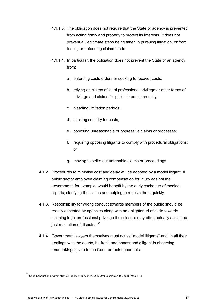- 4.1.1.3. The obligation does not require that the State or agency is prevented from acting firmly and properly to protect its interests. It does not prevent all legitimate steps being taken in pursuing litigation, or from testing or defending claims made.
- 4.1.1.4. In particular, the obligation does not prevent the State or an agency from:
	- a. enforcing costs orders or seeking to recover costs;
	- b. relying on claims of legal professional privilege or other forms of privilege and claims for public interest immunity;
	- c. pleading limitation periods;
	- d. seeking security for costs;
	- e. opposing unreasonable or oppressive claims or processes;
	- f. requiring opposing litigants to comply with procedural obligations; or
	- g. moving to strike out untenable claims or proceedings.
- 4.1.2. Procedures to minimise cost and delay will be adopted by a model litigant. A public sector employee claiming compensation for injury against the government, for example, would benefit by the early exchange of medical reports, clarifying the issues and helping to resolve them quickly.
- 4.1.3. Responsibility for wrong conduct towards members of the public should be readily accepted by agencies along with an enlightened attitude towards claiming legal professional privilege if disclosure may often actually assist the just resolution of disputes.<sup>35</sup>
- 4.1.4. Government lawyers themselves must act as "model litigants" and, in all their dealings with the courts, be frank and honest and diligent in observing undertakings given to the Court or their opponents.

<sup>35</sup> Good Conduct and Administrative Practice Guidelines, NSW Ombudsman, 2006, pp.B-29 to B-34.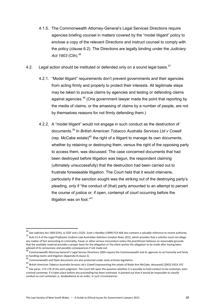- 4.1.5. The Commonwealth Attorney-General's Legal Services Directions require agencies briefing counsel in matters covered by the "model litigant" policy to enclose a copy of the relevant Directions and instruct counsel to comply with the policy (clause 6.2). The Directions are legally binding under the *Judiciary Act 1903* (Cth).<sup>36</sup>
- 4.2. Legal action should be instituted or defended only on a sound legal basis. $37$ 
	- 4.2.1. "Model litigant" requirements don't prevent governments and their agencies from acting firmly and properly to protect their interests. All legitimate steps may be taken to pursue claims by agencies and testing or defending claims against agencies.<sup>38</sup> (One government lawyer made the point that reporting by the media of claims, or the amassing of claims by a number of people, are not by themselves reasons for not firmly defending them.)
	- 4.2.2. A "model litigant" would not engage in such conduct as the destruction of documents.<sup>39</sup> In *British American Tobacco Australia Services Ltd v Cowell* (rep. McCabe estate)<sup>40</sup> the right of a litigant to manage its own documents, whether by retaining or destroying them, versus the right of the opposing party to access them, was discussed. The case concerned documents that had been destroyed before litigation was begun, the respondent claiming (ultimately unsuccessfully) that the destruction had been carried out to frustrate foreseeable litigation. The Court held that it would intervene, particularly if the sanction sought was the striking out of the destroying party's pleading, only if "the conduct of (that) party amounted to an attempt to pervert the course of justice or, if open, contempt of court occurring before the litigation was on foot."<sup>41</sup>

<sup>36</sup> See *Judiciary Act 1903* (Cth), ss 55ZF and s.55ZG. *Scott v Handley* (1999) FCA 404 also contains a valuable reference to recent authority. <sup>37</sup> Rule 21.4 of the *Legal Profession Uniform Law Australian Solicitors Conduct Rules 2015*, which provides that a solicitor must not allege any matter of fact amounting to criminality, fraud, or other serious misconduct unless the practitioner believes on reasonable grounds that the available material provides a proper basis for the allegation or the client wishes the allegation to be made after having been advised of its seriousness and possible consequences if not made out.

<sup>&</sup>lt;sup>38</sup> Commonwealth Attorney-General's Legal Service Directions 2005 require the Commonwealth and its agencies to act honestly and fairly in handling claims and litigation (Appendix B clause 2).

<sup>39</sup> Commonwealth and State documents are also protected under state archives legislation.

<sup>&</sup>lt;sup>40</sup> British American Tobacco Australia Services Ltd v Cowell (representing the estate of Rolah Ann McCabe, deceased) [2002] VSCA 197.

<sup>&</sup>lt;sup>41</sup> See paras. 173-176 of the joint judgment. The Court left open the question whether it is possible to hold conduct to be contempt, even criminal contempt, if it takes place before any proceeding has been instituted. It pointed out that it would be impossible to classify conduct as civil contempt i.e. disobedience to an order, in such circumstances.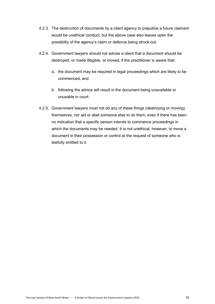- 4.2.3. The destruction of documents by a client agency to prejudice a future claimant would be unethical conduct, but the above case also leaves open the possibility of the agency's claim or defence being struck out.
- 4.2.4. Government lawyers should not advise a client that a document should be destroyed, or made illegible, or moved, if the practitioner is aware that:
	- a. the document may be required in legal proceedings which are likely to be commenced, and
	- b. following the advice will result in the document being unavailable or unusable in court.
- 4.2.5. Government lawyers must not do any of these things (destroying or moving) themselves, nor aid or abet someone else to do them, even if there has been no indication that a specific person intends to commence proceedings in which the documents may be needed. It is not unethical, however, to move a document in their possession or control at the request of someone who is lawfully entitled to it.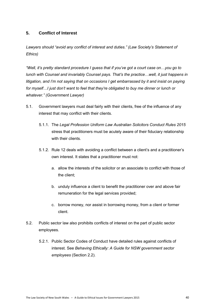### **5. Conflict of Interest**

*Lawyers should "avoid any conflict of interest and duties." (Law Society's Statement of Ethics)* 

*"Well, it's pretty standard procedure I guess that if you've got a court case on…you go to lunch with Counsel and invariably Counsel pays. That's the practice…well, it just happens in litigation, and I'm not saying that on occasions I get embarrassed by it and insist on paying for myself…I just don't want to feel that they're obligated to buy me dinner or lunch or whatever." (Government Lawyer)* 

- 5.1. Government lawyers must deal fairly with their clients, free of the influence of any interest that may conflict with their clients.
	- 5.1.1. The *Legal Profession Uniform Law Australian Solicitors Conduct Rules 2015* stress that practitioners must be acutely aware of their fiduciary relationship with their clients.
	- 5.1.2. Rule 12 deals with avoiding a conflict between a client's and a practitioner's own interest. It states that a practitioner must not:
		- a. allow the interests of the solicitor or an associate to conflict with those of the client;
		- b. unduly influence a client to benefit the practitioner over and above fair remuneration for the legal services provided;
		- c. borrow money, nor assist in borrowing money, from a client or former client.
- 5.2. Public sector law also prohibits conflicts of interest on the part of public sector employees.
	- 5.2.1. Public Sector Codes of Conduct have detailed rules against conflicts of interest. See *Behaving Ethically: A Guide for NSW government sector employees* (Section 2.2).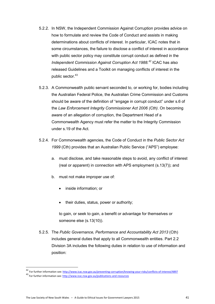- 5.2.2. In NSW, the Independent Commission Against Corruption provides advice on how to formulate and review the Code of Conduct and assists in making determinations about conflicts of interest. In particular, ICAC notes that in some circumstances, the failure to disclose a conflict of interest in accordance with public sector policy may constitute corrupt conduct as defined in the *Independent Commission Against Corruption Act 1988.<sup>42</sup>* ICAC has also released Guidelines and a Toolkit on managing conflicts of interest in the public sector.<sup>43</sup>
- 5.2.3. A Commonwealth public servant seconded to, or working for, bodies including the Australian Federal Police, the Australian Crime Commission and Customs should be aware of the definition of "engage in corrupt conduct" under s.6 of the *Law Enforcement Integrity Commissioner Act 2006 (Cth)*. On becoming aware of an allegation of corruption, the Department Head of a Commonwealth Agency must refer the matter to the Integrity Commission under s.19 of the Act.
- 5.2.4. For Commonwealth agencies, the Code of Conduct in the *Public Sector Act 1999* (Cth) provides that an Australian Public Service ("APS") employee:
	- a. must disclose, and take reasonable steps to avoid, any conflict of interest (real or apparent) in connection with APS employment (s.13(7)); and
	- b. must not make improper use of:
		- inside information; or
		- their duties, status, power or authority;

to gain, or seek to gain, a benefit or advantage for themselves or someone else (s.13(10)).

5.2.5. The *Public Governance, Performance and Accountability Act 2013* (Cth) includes general duties that apply to all Commonwealth entities. Part 2.2 Division 3A includes the following duties in relation to use of information and position:

<sup>&</sup>lt;sup>42</sup> For further information see: http://www.icac.nsw.gov.au/preventing-corruption/knowing-your-risks/conflicts-of-interest/4897 <sup>43</sup> For further information see[: http://www.icac.nsw.gov.au/publications-and-resources](http://www.icac.nsw.gov.au/publications-and-resources)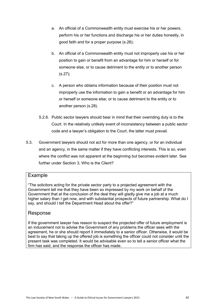- a. An official of a Commonwealth entity must exercise his or her powers, perform his or her functions and discharge his or her duties honestly, in good faith and for a proper purpose (s.26);
- b. An official of a Commonwealth entity must not improperly use his or her position to gain or benefit from an advantage for him or herself or for someone else, or to cause detriment to the entity or to another person (s.27);
- c. A person who obtains information because of their position must not improperly use the information to gain a benefit or an advantage for him or herself or someone else; or to cause detriment to the entity or to another person (s.28).
- 5.2.6. Public sector lawyers should bear in mind that their overriding duty is to the Court. In the relatively unlikely event of inconsistency between a public sector code and a lawyer's obligation to the Court, the latter must prevail.
- 5.3. Government lawyers should not act for more than one agency, or for an individual and an agency, in the same matter if they have conflicting interests. This is so, even where the conflict was not apparent at the beginning but becomes evident later. See further under Section 3. Who is the Client?

# Example

"The solicitors acting for the private sector party to a projected agreement with the Government tell me that they have been so impressed by my work on behalf of the Government that at the conclusion of the deal they will gladly give me a job at a much higher salary than I get now, and with substantial prospects of future partnership. What do I say, and should I tell the Department Head about the offer?"

# Response

If the government lawyer has reason to suspect the projected offer of future employment is an inducement not to advise the Government of any problems the officer sees with the agreement, he or she should report it immediately to a senior officer. Otherwise, it would be best to say that taking up the offered job is something the officer could not consider until the present task was completed. It would be advisable even so to tell a senior officer what the firm has said, and the response the officer has made.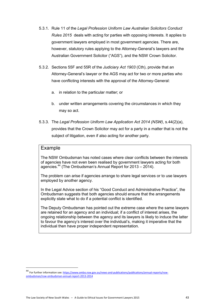- 5.3.1. Rule 11 of the *Legal Profession Uniform Law Australian Solicitors Conduct Rules 2015* deals with acting for parties with opposing interests. It applies to government lawyers employed in most government agencies. There are, however, statutory rules applying to the Attorney-General's lawyers and the Australian Government Solicitor ("AGS"), and the NSW Crown Solicitor.
- 5.3.2. Sections 55F and 55R of the *Judiciary Act 1903* (Cth), provide that an Attorney-General's lawyer or the AGS may act for two or more parties who have conflicting interests with the approval of the Attorney-General:
	- a. in relation to the particular matter; or
	- b. under written arrangements covering the circumstances in which they may so act.
- 5.3.3. The *Legal Profession Uniform Law Application Act 2014 (NSW)*, s.44(2)(a), provides that the Crown Solicitor may act for a party in a matter that is not the subject of litigation, even if also acting for another party.

### Example

**.** 

The NSW Ombudsman has noted cases where clear conflicts between the interests of agencies have not even been realised by government lawyers acting for both agencies.<sup>44</sup> (The Ombudsman's Annual Report for 2013 – 2014).

The problem can arise if agencies arrange to share legal services or to use lawyers employed by another agency.

In the Legal Advice section of his "Good Conduct and Administrative Practice", the Ombudsman suggests that both agencies should ensure that the arrangements explicitly state what to do if a potential conflict is identified.

The Deputy Ombudsman has pointed out the extreme case where the same lawyers are retained for an agency and an individual; if a conflict of interest arises, the ongoing relationship between the agency and its lawyers is likely to induce the latter to favour the agency's interest over the individual's, making it imperative that the individual then have proper independent representation.

<sup>44</sup> For further information see[: https://www.ombo.nsw.gov.au/news-and-publications/publications/annual-reports/nsw](https://www.ombo.nsw.gov.au/news-and-publications/publications/annual-reports/nsw-ombudsman/nsw-ombudsman-annual-report-2013-2014)[ombudsman/nsw-ombudsman-annual-report-2013-2014](https://www.ombo.nsw.gov.au/news-and-publications/publications/annual-reports/nsw-ombudsman/nsw-ombudsman-annual-report-2013-2014)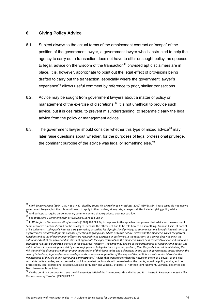### **6. Giving Policy Advice**

- 6.1. Subject always to the actual terms of the employment contract or "scope" of the position of the government lawyer, a government lawyer who is instructed to help the agency to carry out a transaction does not have to offer unsought policy, as opposed to legal, advice on the wisdom of the transaction<sup>45</sup> provided apt disclaimers are in place. It is, however, appropriate to point out the legal effect of provisions being drafted to carry out the transaction, especially where the government lawyer's experience<sup>46</sup> allows useful comment by reference to prior, similar transactions.
- 6.2. Advice may be sought from government lawyers about a matter of policy or management of the exercise of discretions. $47$  It is not unethical to provide such advice, but it is desirable, to prevent misunderstanding, to separate clearly the legal advice from the policy or management advice.
- 6.3. The government lawyer should consider whether this type of mixed advice<sup>48</sup> may later raise questions about whether, for the purposes of legal professional privilege, the dominant purpose of the advice was legal or something else.<sup>49</sup>

<sup>45</sup> *Clark Boyce v Mouat* (1994) 1 AC 428 at 437, cited by Young J in *Marcolongo v Mattiussi* (2000) NSWSC 834. Those cases did not involve government lawyers, but the rule would seem to apply to them unless, at any rate, a lawyer's duties included giving policy advice.<br>46  $^6$  And perhaps to require an exclusionary comment where that experience does not so allow.

<sup>47</sup> See *Waterford v Commonwealth of Australia* [1987] 163 CLR 54.

<sup>48</sup> In *Waterford v Commonwealth of Australia* [1987] 163 CLR 54, in response to the appellant's argument that advice on the exercise of "administrative functions" could not be privileged, because the officer just had to be told how to do something, Brennan J said, at para. 9 of his judgment: "…*the public interest is truly served by according legal professional privilege to communications brought into existence by a government department for the purpose of seeking or giving legal advice as to the nature, extent and the manner in which the powers, functions and duties of government officers are required to be exercised or performed. If the repository of a power does not know the nature or extent of the power or if he does not appreciate the legal restraints on the manner in which he is required to exercise it, there is a significant risk that a purported exercise of the power will miscarry. The same may be said of the performance of functions and duties. The public interest in minimising that risk by encouraging resort to legal advice is greater, perhaps, than the public interest in minimising the risk that individuals may act without proper appreciation of their legal rights and obligations. In the case of governments no less than in the case of individuals, legal professional privilege tends to enhance application of the law, and the public has a substantial interest in the maintenance of the rule of law over public administration."* Advice that went further than the nature or extent of a power, or the legal restraints on its exercise, and expressed an opinion on what decision should be reached on the merits, would be policy advice, and not protected by legal professional privilege. See also per Mason and Wilson JJ at paras. 5-7 of their joint judgment. Dawson J dissented and Dean J reserved his opinion.

<sup>49</sup> On the dominant purpose test, see the *Evidence Acts 1995* of the Commonwealth and NSW and *Esso Australia Resources Limited v The Commissioner of Taxation* [1999] HCA 67.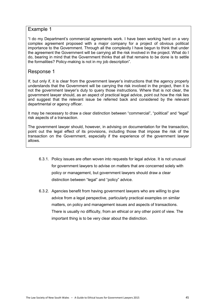# Example 1

"I do my Department's commercial agreements work. I have been working hard on a very complex agreement proposed with a major company for a project of obvious political importance to the Government. Through all the complexity I have begun to think that under the agreement the Government will be carrying all the risk involved in the project. What do I do, bearing in mind that the Government thinks that all that remains to be done is to settle the formalities? Policy-making is not in my job description".

# Response 1

If, but only if, it is clear from the government lawyer's instructions that the agency properly understands that the Government will be carrying the risk involved in the project, then it is not the government lawyer's duty to query those instructions. Where that is not clear, the government lawyer should, as an aspect of practical legal advice, point out how the risk lies and suggest that the relevant issue be referred back and considered by the relevant departmental or agency officer.

It may be necessary to draw a clear distinction between "commercial", "political" and "legal" risk aspects of a transaction.

The government lawyer should, however, in advising on documentation for the transaction, point out the legal effect of its provisions, including those that impose the risk of the transaction on the Government, especially if the experience of the government lawyer allows.

- 6.3.1. Policy issues are often woven into requests for legal advice. It is not unusual for government lawyers to advise on matters that are concerned solely with policy or management, but government lawyers should draw a clear distinction between "legal" and "policy" advice.
- 6.3.2. Agencies benefit from having government lawyers who are willing to give advice from a legal perspective, particularly practical examples on similar matters, on policy and management issues and aspects of transactions. There is usually no difficulty, from an ethical or any other point of view. The important thing is to be very clear about the distinction.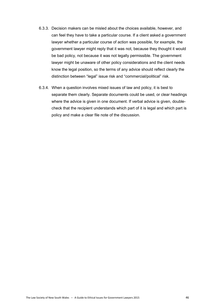- 6.3.3. Decision makers can be misled about the choices available, however, and can feel they have to take a particular course. If a client asked a government lawyer whether a particular course of action was possible, for example, the government lawyer might reply that it was not, because they thought it would be bad policy, not because it was not legally permissible. The government lawyer might be unaware of other policy considerations and the client needs know the legal position, so the terms of any advice should reflect clearly the distinction between "legal" issue risk and "commercial/political" risk.
- 6.3.4. When a question involves mixed issues of law and policy, it is best to separate them clearly. Separate documents could be used, or clear headings where the advice is given in one document. If verbal advice is given, doublecheck that the recipient understands which part of it is legal and which part is policy and make a clear file note of the discussion.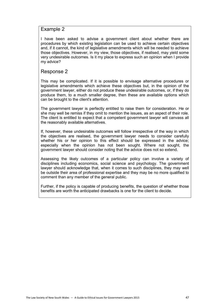### Example 2

I have been asked to advise a government client about whether there are procedures by which existing legislation can be used to achieve certain objectives and, if it cannot, the kind of legislative amendments which will be needed to achieve those objectives. However, in my view, those objectives, if realised, may yield some very undesirable outcomes. Is it my place to express such an opinion when I provide my advice?

# Response 2

This may be complicated. If it is possible to envisage alternative procedures or legislative amendments which achieve these objectives but, in the opinion of the government lawyer, either do not produce these undesirable outcomes, or, if they do produce them, to a much smaller degree, then these are available options which can be brought to the client's attention.

The government lawyer is perfectly entitled to raise them for consideration. He or she may well be remiss if they omit to mention the issues, as an aspect of their role. The client is entitled to expect that a competent government lawyer will canvass all the reasonably available alternatives.

If, however, these undesirable outcomes will follow irrespective of the way in which the objectives are realised, the government lawyer needs to consider carefully whether his or her opinion to this effect should be expressed in the advice; especially when the opinion has not been sought. Where not sought, the government lawyer should consider noting that the advice does not so extend.

Assessing the likely outcomes of a particular policy can involve a variety of disciplines including economics, social science and psychology. The government lawyer should acknowledge that, when it comes to such disciplines, they may well be outside their area of professional expertise and they may be no more qualified to comment than any member of the general public.

Further, if the policy is capable of producing benefits, the question of whether those benefits are worth the anticipated drawbacks is one for the client to decide.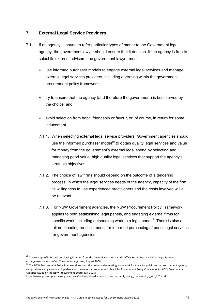### **7. External Legal Service Providers**

- 7.1. If an agency is bound to refer particular types of matter to the Government legal agency, the government lawyer should ensure that it does so. If the agency is free to select its external advisers, the government lawyer must:
	- use informed purchaser models to engage external legal services and manage external legal services providers, including operating within the government procurement policy framework;
	- try to ensure that the agency (and therefore the government) is best served by the choice; and
	- avoid selection from habit, friendship or favour, or, of course, in return for some inducement.
	- 7.1.1. When selecting external legal service providers, Government agencies should use the informed purchaser model<sup>50</sup> to obtain quality legal services and value for money from the government's external legal spend by selecting and managing good value, high quality legal services that support the agency's strategic objectives.
	- 7.1.2. The choice of law firms should depend on the outcome of a tendering process, in which the legal services needs of the agency, capacity of the firm, its willingness to use experienced practitioners and the costs involved will all be relevant.
	- 7.1.3. For NSW Government agencies, the NSW Procurement Policy Framework applies to both establishing legal panels, and engaging external firms for specific work, including outsourcing work to a legal panel.<sup>51</sup> There is also a tailored leading practice model for informed purchasing of panel legal services for government agencies.

<sup>50</sup> The concept of informed purchasing is drawn from the Australian National Audit Office *Better Practice Guide: Legal Services Arrangements in Australian Government Agencies*, August 2006.

<sup>51</sup> The NSW Procurement Policy Framework sets out the policy and operating framework for the NSW public sector procurement system, and provides a single source of guidance on the rules for procurement. See *NSW Procurement Policy Framework for NSW Government Agencies* issued by the NSW Procurement Board, July 2015:

https://www.procurepoint.nsw.gov.au/sites/default/files/documents/procurement\_policy\_framework\_-\_july\_2015.pdf.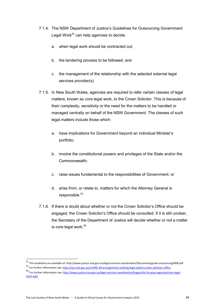- 7.1.4. The NSW Department of Justice's Guidelines for Outsourcing Government Legal Work<sup>52</sup> can help agencies to decide:
	- a. when legal work should be contracted out;
	- b. the tendering process to be followed; and
	- c. the management of the relationship with the selected external legal services provider(s).
- 7.1.5. In New South Wales, agencies are required to refer certain classes of legal matters, known as core legal work, to the Crown Solicitor. This is because of their complexity, sensitivity or the need for the matters to be handled or managed centrally on behalf of the NSW Government. The classes of such legal matters include those which:
	- a. have implications for Government beyond an individual Minister's portfolio;
	- b. involve the constitutional powers and privileges of the State and/or the Commonwealth;
	- c. raise issues fundamental to the responsibilities of Government; or
	- d. arise from, or relate to, matters for which the Attorney General is responsible.<sup>53</sup>
- 7.1.6. If there is doubt about whether or not the Crown Solicitor's Office should be engaged, the Crown Solicitor's Office should be consulted. If it is still unclear, the Secretary of the Department of Justice will decide whether or not a matter is core legal work.<sup>54</sup>

1

<sup>52</sup> The Guidelines are available at: http://www.justice.nsw.gov.au/legal-services-coordination/Documents/guide-outsourcing2008.pdf

<sup>53</sup> For further information see[: http://arp.nsw.gov.au/m1995-39-arrangements-seeking-legal-advice-crown-solicitors-office](http://arp.nsw.gov.au/m1995-39-arrangements-seeking-legal-advice-crown-solicitors-office)

<sup>54</sup> For further information see[: http://www.justice.nsw.gov.au/legal-services-coordination/Pages/info-for-govt-agencies/core-legal](http://www.justice.nsw.gov.au/legal-services-coordination/Pages/info-for-govt-agencies/core-legal-work.aspx)[work.aspx](http://www.justice.nsw.gov.au/legal-services-coordination/Pages/info-for-govt-agencies/core-legal-work.aspx)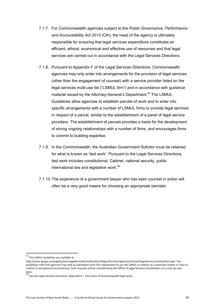- 7.1.7. For Commonwealth agencies subject to the *Public Governance, Performance and Accountability Act 2013* (Cth), the head of the agency is ultimately responsible for ensuring that legal services expenditure constitutes an efficient, ethical, economical and effective use of resources and that legal services are carried out in accordance with the Legal Services Directions.
- 7.1.8. Pursuant to Appendix F of the Legal Services Directions, Commonwealth agencies may only enter into arrangements for the provision of legal services (other than the engagement of counsel) with a service provider listed on the legal services multi-use list ("LSMUL firm") and in accordance with guidance material issued by the Attorney-General's Department.<sup>55</sup> The LSMUL Guidelines allow agencies to establish parcels of work and to enter into specific arrangements with a number of LSMUL firms to provide legal services in respect of a parcel, similar to the establishment of a panel of legal service providers. The establishment of parcels provides a basis for the development of strong ongoing relationships with a number of firms, and encourages firms to commit to building expertise.
- 7.1.9. In the Commonwealth, the Australian Government Solicitor must be retained for what is known as 'tied work'. Pursuant to the Legal Services Directions, tied work includes constitutional, Cabinet, national security, public international law and legislative work.<sup>56</sup>
- 7.1.10. The experience of a government lawyer who has seen counsel in action will often be a very good means for choosing an appropriate barrister.

<sup>55</sup> The LSMUL Guidelines are available at:

http://www.ag.gov.au/LegalSystem/LegalServicesCoordination/Pages/Purchasingservicesfromthelegalservicesmultiuselist.aspx. The Guidelines note that agencies may seek an exemption from the requirement to use the LSMUL in relation to a particular matter or class of matters in exceptional circumstances. Such requests will be considered by the Office of Legal Services Coordination on a case by case basis.

 $\frac{56}{36}$  See the Legal Services Directions, Appendix A – Tied areas of Commonwealth legal work.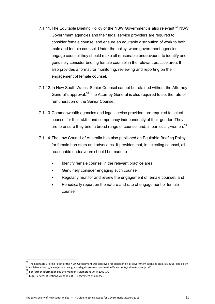- 7.1.11. The Equitable Briefing Policy of the NSW Government is also relevant.<sup>57</sup> NSW Government agencies and their legal service providers are required to consider female counsel and ensure an equitable distribution of work to both male and female counsel. Under the policy, when government agencies engage counsel they should make all reasonable endeavours to identify and genuinely consider briefing female counsel in the relevant practice area. It also provides a format for monitoring, reviewing and reporting on the engagement of female counsel.
- 7.1.12. In New South Wales, Senior Counsel cannot be retained without the Attorney General's approval.<sup>58</sup> The Attorney General is also required to set the rate of remuneration of the Senior Counsel.
- 7.1.13. Commonwealth agencies and legal service providers are required to select counsel for their skills and competency independently of their gender. They are to ensure they brief a broad range of counsel and, in particular, women.<sup>59</sup>
- 7.1.14. The Law Council of Australia has also published an Equitable Briefing Policy for female barristers and advocates. It provides that, in selecting counsel, all reasonable endeavours should be made to:
	- Identify female counsel in the relevant practice area;
	- Genuinely consider engaging such counsel;
	- Regularly monitor and review the engagement of female counsel; and
	- Periodically report on the nature and rate of engagement of female counsel.

 $\overline{a}$ 

<sup>57</sup> The Equitable Briefing Policy of the NSW Government was approved for adoption by all government agencies on 8 July 2008. The policy is available at http://www.justice.nsw.gov.au/legal-services-coordination/Documents/cabinetapp-ebp.pdf.<br>58 - 2014 - 2015 - 2016 - 2017 - 2018 - 2018 - 2019 - 2018 - 2019 - 2019 - 2019 - 2019 - 2019 - 2019 - 2019 -

 $\overline{5}$  For further information see the Premier's Memorandum M2009-17.

 $59$  Legal Services Directions, Appendix D – Engagement of Counsel.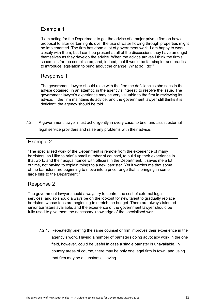### Example 1

"I am acting for the Department to get the advice of a major private firm on how a proposal to alter certain rights over the use of water flowing through properties might be implemented. The firm has done a lot of government work. I am happy to work closely with them, but I can't be present at all of the discussions they have amongst themselves as they develop the advice. When the advice arrives I think the firm's scheme is far too complicated, and, indeed, that it would be far simpler and practical to introduce legislation to bring about the change. What do I do?"

# Response 1

The government lawyer should raise with the firm the deficiencies she sees in the advice obtained, in an attempt, in the agency's interest, to resolve the issue. The government lawyer's experience may be very valuable to the firm in reviewing its advice. If the firm maintains its advice, and the government lawyer still thinks it is deficient, the agency should be told.

7.2. A government lawyer must act diligently in every case: to brief and assist external

legal service providers and raise any problems with their advice.

# Example 2

"The specialised work of the Department is remote from the experience of many barristers, so I like to brief a small number of counsel, to build up their experience in that work, and their acquaintance with officers in the Department. It saves me a lot of time, not having to explain things to a new barrister. Yet it worries me that some of the barristers are beginning to move into a price range that is bringing in some large bills to the Department."

# Response 2

The government lawyer should always try to control the cost of external legal services, and so should always be on the lookout for new talent to gradually replace barristers whose fees are beginning to stretch the budget. There are always talented junior barristers available, and the experience of the government lawyer should be fully used to give them the necessary knowledge of the specialised work.

7.2.1. Repeatedly briefing the same counsel or firm improves their experience in the agency's work. Having a number of barristers doing advocacy work in the one field, however, could be useful in case a single barrister is unavailable. In country areas of course, there may be only one legal firm in town, and using that firm may be a substantial saving.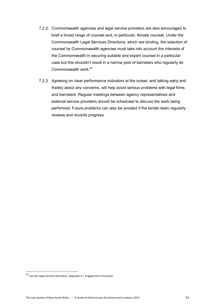- 7.2.2. Commonwealth agencies and legal service providers are also encouraged to brief a broad range of counsel and, in particular, female counsel. Under the Commonwealth Legal Services Directions, which are binding, the selection of counsel by Commonwealth agencies must take into account the interests of the Commonwealth in securing suitable and expert counsel in a particular case but this shouldn't result in a narrow pool of barristers who regularly do Commonwealth work.<sup>60</sup>
- 7.2.3. Agreeing on clear performance indicators at the outset, and talking early and frankly about any concerns, will help avoid serious problems with legal firms and barristers. Regular meetings between agency representatives and external service providers should be scheduled to discuss the work being performed. Future problems can also be avoided if the tender team regularly reviews and records progress.

 $^{60}$  See the Legal Services Directions, Appendix D – Engagement of Counsel.